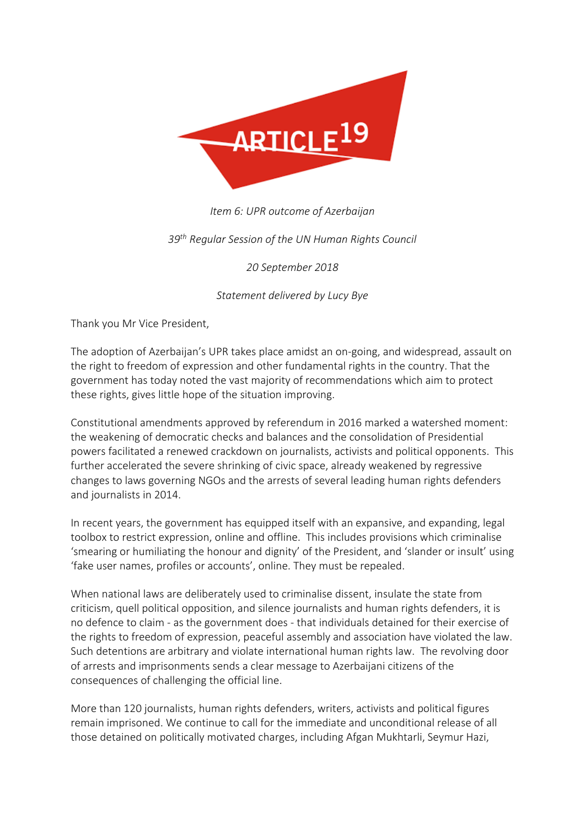

## *Item 6: UPR outcome of Azerbaijan*

## *39th Regular Session of the UN Human Rights Council*

*20 September 2018*

*Statement delivered by Lucy Bye*

Thank you Mr Vice President,

The adoption of Azerbaijan's UPR takes place amidst an on-going, and widespread, assault on the right to freedom of expression and other fundamental rights in the country. That the government has today noted the vast majority of recommendations which aim to protect these rights, gives little hope of the situation improving.

Constitutional amendments approved by referendum in 2016 marked a watershed moment: the weakening of democratic checks and balances and the consolidation of Presidential powers facilitated a renewed crackdown on journalists, activists and political opponents. This further accelerated the severe shrinking of civic space, already weakened by regressive changes to laws governing NGOs and the arrests of several leading human rights defenders and journalists in 2014.

In recent years, the government has equipped itself with an expansive, and expanding, legal toolbox to restrict expression, online and offline. This includes provisions which criminalise 'smearing or humiliating the honour and dignity' of the President, and 'slander or insult' using 'fake user names, profiles or accounts', online. They must be repealed.

When national laws are deliberately used to criminalise dissent, insulate the state from criticism, quell political opposition, and silence journalists and human rights defenders, it is no defence to claim - as the government does - that individuals detained for their exercise of the rights to freedom of expression, peaceful assembly and association have violated the law. Such detentions are arbitrary and violate international human rights law. The revolving door of arrests and imprisonments sends a clear message to Azerbaijani citizens of the consequences of challenging the official line.

More than 120 journalists, human rights defenders, writers, activists and political figures remain imprisoned. We continue to call for the immediate and unconditional release of all those detained on politically motivated charges, including Afgan Mukhtarli, Seymur Hazi,